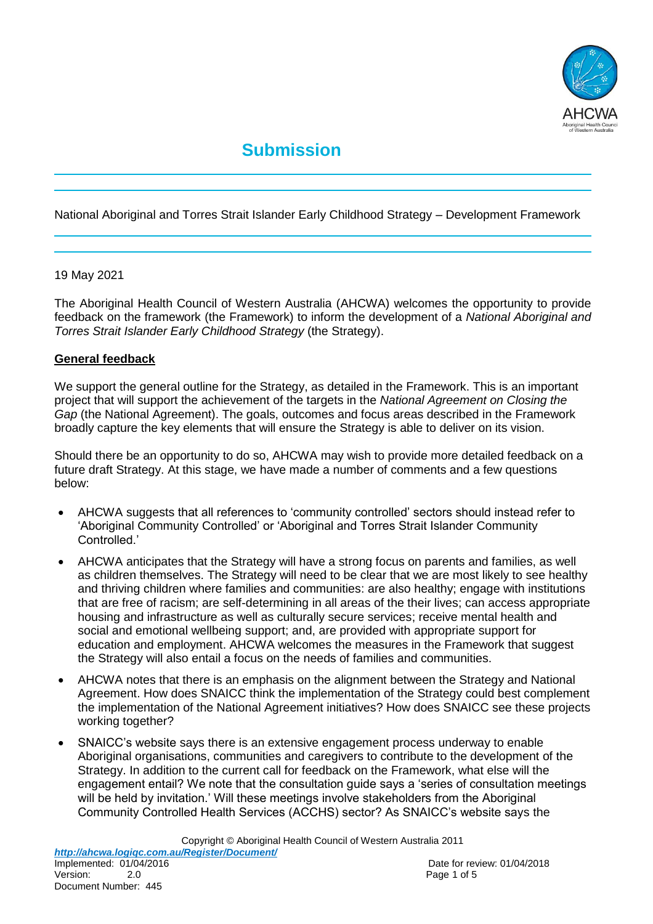

# **Submission**

National Aboriginal and Torres Strait Islander Early Childhood Strategy – Development Framework

#### 19 May 2021

The Aboriginal Health Council of Western Australia (AHCWA) welcomes the opportunity to provide feedback on the framework (the Framework) to inform the development of a *National Aboriginal and Torres Strait Islander Early Childhood Strategy* (the Strategy).

#### **General feedback**

We support the general outline for the Strategy, as detailed in the Framework. This is an important project that will support the achievement of the targets in the *National Agreement on Closing the Gap* (the National Agreement). The goals, outcomes and focus areas described in the Framework broadly capture the key elements that will ensure the Strategy is able to deliver on its vision.

Should there be an opportunity to do so, AHCWA may wish to provide more detailed feedback on a future draft Strategy. At this stage, we have made a number of comments and a few questions below:

- AHCWA suggests that all references to 'community controlled' sectors should instead refer to 'Aboriginal Community Controlled' or 'Aboriginal and Torres Strait Islander Community Controlled.'
- AHCWA anticipates that the Strategy will have a strong focus on parents and families, as well as children themselves. The Strategy will need to be clear that we are most likely to see healthy and thriving children where families and communities: are also healthy; engage with institutions that are free of racism; are self-determining in all areas of the their lives; can access appropriate housing and infrastructure as well as culturally secure services; receive mental health and social and emotional wellbeing support; and, are provided with appropriate support for education and employment. AHCWA welcomes the measures in the Framework that suggest the Strategy will also entail a focus on the needs of families and communities.
- AHCWA notes that there is an emphasis on the alignment between the Strategy and National Agreement. How does SNAICC think the implementation of the Strategy could best complement the implementation of the National Agreement initiatives? How does SNAICC see these projects working together?
- SNAICC's website says there is an extensive engagement process underway to enable Aboriginal organisations, communities and caregivers to contribute to the development of the Strategy. In addition to the current call for feedback on the Framework, what else will the engagement entail? We note that the consultation guide says a 'series of consultation meetings will be held by invitation.' Will these meetings involve stakeholders from the Aboriginal Community Controlled Health Services (ACCHS) sector? As SNAICC's website says the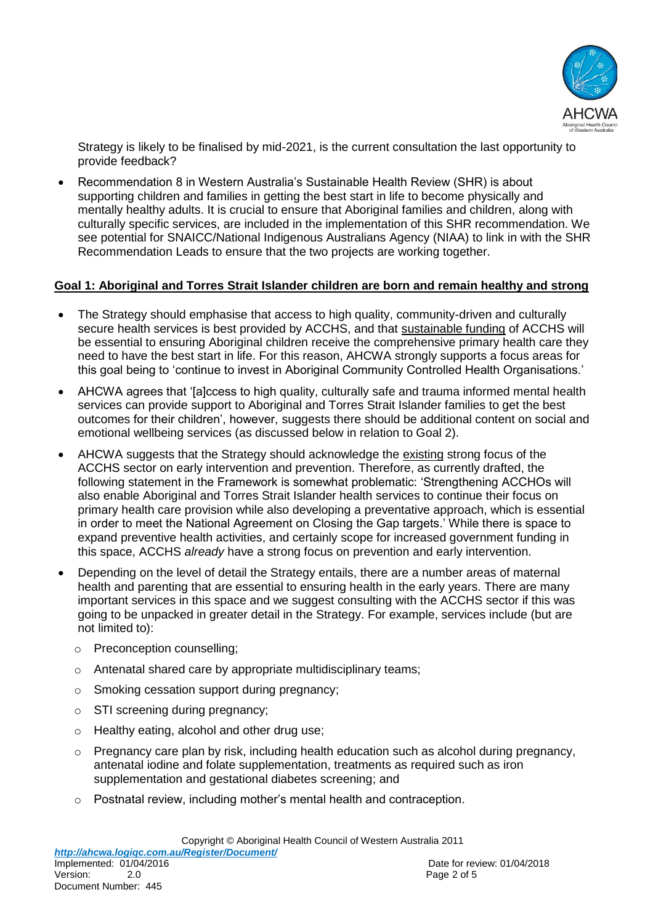

Strategy is likely to be finalised by mid-2021, is the current consultation the last opportunity to provide feedback?

 Recommendation 8 in Western Australia's Sustainable Health Review (SHR) is about supporting children and families in getting the best start in life to become physically and mentally healthy adults. It is crucial to ensure that Aboriginal families and children, along with culturally specific services, are included in the implementation of this SHR recommendation. We see potential for SNAICC/National Indigenous Australians Agency (NIAA) to link in with the SHR Recommendation Leads to ensure that the two projects are working together.

## **Goal 1: Aboriginal and Torres Strait Islander children are born and remain healthy and strong**

- The Strategy should emphasise that access to high quality, community-driven and culturally secure health services is best provided by ACCHS, and that sustainable funding of ACCHS will be essential to ensuring Aboriginal children receive the comprehensive primary health care they need to have the best start in life. For this reason, AHCWA strongly supports a focus areas for this goal being to 'continue to invest in Aboriginal Community Controlled Health Organisations.'
- AHCWA agrees that '[a]ccess to high quality, culturally safe and trauma informed mental health services can provide support to Aboriginal and Torres Strait Islander families to get the best outcomes for their children', however, suggests there should be additional content on social and emotional wellbeing services (as discussed below in relation to Goal 2).
- AHCWA suggests that the Strategy should acknowledge the existing strong focus of the ACCHS sector on early intervention and prevention. Therefore, as currently drafted, the following statement in the Framework is somewhat problematic: 'Strengthening ACCHOs will also enable Aboriginal and Torres Strait Islander health services to continue their focus on primary health care provision while also developing a preventative approach, which is essential in order to meet the National Agreement on Closing the Gap targets.' While there is space to expand preventive health activities, and certainly scope for increased government funding in this space, ACCHS *already* have a strong focus on prevention and early intervention.
- Depending on the level of detail the Strategy entails, there are a number areas of maternal health and parenting that are essential to ensuring health in the early years. There are many important services in this space and we suggest consulting with the ACCHS sector if this was going to be unpacked in greater detail in the Strategy. For example, services include (but are not limited to):
	- o Preconception counselling;
	- o Antenatal shared care by appropriate multidisciplinary teams;
	- o Smoking cessation support during pregnancy;
	- o STI screening during pregnancy;
	- o Healthy eating, alcohol and other drug use;
	- $\circ$  Pregnancy care plan by risk, including health education such as alcohol during pregnancy, antenatal iodine and folate supplementation, treatments as required such as iron supplementation and gestational diabetes screening; and
	- o Postnatal review, including mother's mental health and contraception.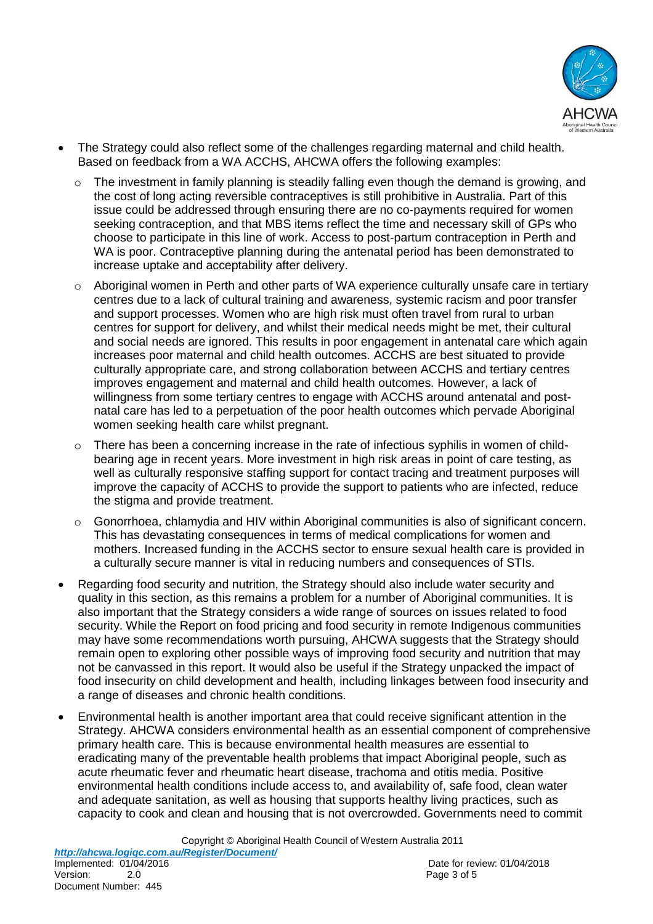

- The Strategy could also reflect some of the challenges regarding maternal and child health. Based on feedback from a WA ACCHS, AHCWA offers the following examples:
	- o The investment in family planning is steadily falling even though the demand is growing, and the cost of long acting reversible contraceptives is still prohibitive in Australia. Part of this issue could be addressed through ensuring there are no co-payments required for women seeking contraception, and that MBS items reflect the time and necessary skill of GPs who choose to participate in this line of work. Access to post-partum contraception in Perth and WA is poor. Contraceptive planning during the antenatal period has been demonstrated to increase uptake and acceptability after delivery.
	- $\circ$  Aboriginal women in Perth and other parts of WA experience culturally unsafe care in tertiary centres due to a lack of cultural training and awareness, systemic racism and poor transfer and support processes. Women who are high risk must often travel from rural to urban centres for support for delivery, and whilst their medical needs might be met, their cultural and social needs are ignored. This results in poor engagement in antenatal care which again increases poor maternal and child health outcomes. ACCHS are best situated to provide culturally appropriate care, and strong collaboration between ACCHS and tertiary centres improves engagement and maternal and child health outcomes. However, a lack of willingness from some tertiary centres to engage with ACCHS around antenatal and postnatal care has led to a perpetuation of the poor health outcomes which pervade Aboriginal women seeking health care whilst pregnant.
	- o There has been a concerning increase in the rate of infectious syphilis in women of childbearing age in recent years. More investment in high risk areas in point of care testing, as well as culturally responsive staffing support for contact tracing and treatment purposes will improve the capacity of ACCHS to provide the support to patients who are infected, reduce the stigma and provide treatment.
	- $\circ$  Gonorrhoea, chlamydia and HIV within Aboriginal communities is also of significant concern. This has devastating consequences in terms of medical complications for women and mothers. Increased funding in the ACCHS sector to ensure sexual health care is provided in a culturally secure manner is vital in reducing numbers and consequences of STIs.
- Regarding food security and nutrition, the Strategy should also include water security and quality in this section, as this remains a problem for a number of Aboriginal communities. It is also important that the Strategy considers a wide range of sources on issues related to food security. While the Report on food pricing and food security in remote Indigenous communities may have some recommendations worth pursuing, AHCWA suggests that the Strategy should remain open to exploring other possible ways of improving food security and nutrition that may not be canvassed in this report. It would also be useful if the Strategy unpacked the impact of food insecurity on child development and health, including linkages between food insecurity and a range of diseases and chronic health conditions.
- Environmental health is another important area that could receive significant attention in the Strategy. AHCWA considers environmental health as an essential component of comprehensive primary health care. This is because environmental health measures are essential to eradicating many of the preventable health problems that impact Aboriginal people, such as acute rheumatic fever and rheumatic heart disease, trachoma and otitis media. Positive environmental health conditions include access to, and availability of, safe food, clean water and adequate sanitation, as well as housing that supports healthy living practices, such as capacity to cook and clean and housing that is not overcrowded. Governments need to commit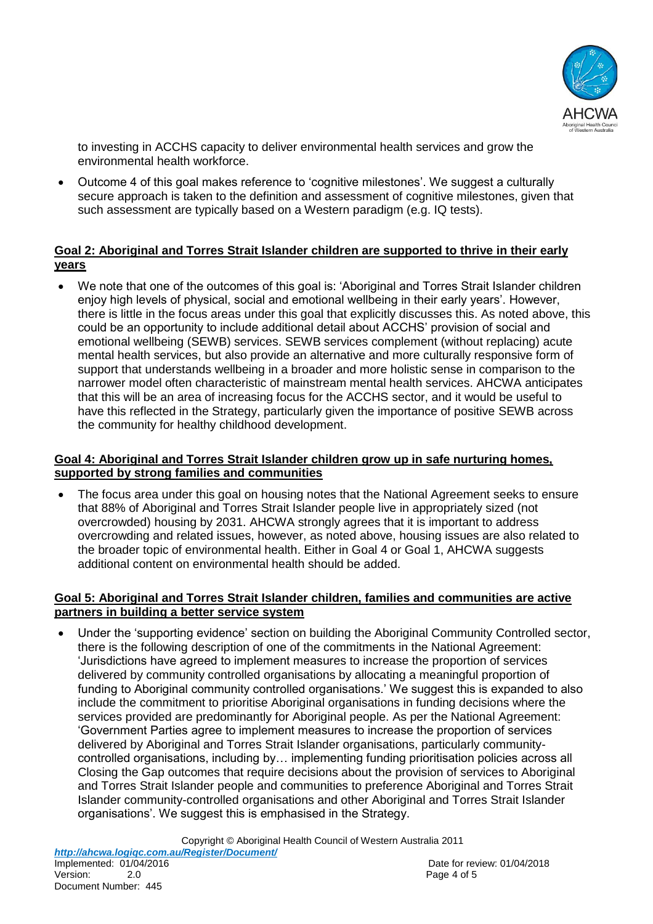

to investing in ACCHS capacity to deliver environmental health services and grow the environmental health workforce.

 Outcome 4 of this goal makes reference to 'cognitive milestones'. We suggest a culturally secure approach is taken to the definition and assessment of cognitive milestones, given that such assessment are typically based on a Western paradigm (e.g. IQ tests).

### **Goal 2: Aboriginal and Torres Strait Islander children are supported to thrive in their early years**

We note that one of the outcomes of this goal is: 'Aboriginal and Torres Strait Islander children enjoy high levels of physical, social and emotional wellbeing in their early years'. However, there is little in the focus areas under this goal that explicitly discusses this. As noted above, this could be an opportunity to include additional detail about ACCHS' provision of social and emotional wellbeing (SEWB) services. SEWB services complement (without replacing) acute mental health services, but also provide an alternative and more culturally responsive form of support that understands wellbeing in a broader and more holistic sense in comparison to the narrower model often characteristic of mainstream mental health services. AHCWA anticipates that this will be an area of increasing focus for the ACCHS sector, and it would be useful to have this reflected in the Strategy, particularly given the importance of positive SEWB across the community for healthy childhood development.

## **Goal 4: Aboriginal and Torres Strait Islander children grow up in safe nurturing homes, supported by strong families and communities**

 The focus area under this goal on housing notes that the National Agreement seeks to ensure that 88% of Aboriginal and Torres Strait Islander people live in appropriately sized (not overcrowded) housing by 2031. AHCWA strongly agrees that it is important to address overcrowding and related issues, however, as noted above, housing issues are also related to the broader topic of environmental health. Either in Goal 4 or Goal 1, AHCWA suggests additional content on environmental health should be added.

#### **Goal 5: Aboriginal and Torres Strait Islander children, families and communities are active partners in building a better service system**

 Under the 'supporting evidence' section on building the Aboriginal Community Controlled sector, there is the following description of one of the commitments in the National Agreement: 'Jurisdictions have agreed to implement measures to increase the proportion of services delivered by community controlled organisations by allocating a meaningful proportion of funding to Aboriginal community controlled organisations.' We suggest this is expanded to also include the commitment to prioritise Aboriginal organisations in funding decisions where the services provided are predominantly for Aboriginal people. As per the National Agreement: 'Government Parties agree to implement measures to increase the proportion of services delivered by Aboriginal and Torres Strait Islander organisations, particularly communitycontrolled organisations, including by… implementing funding prioritisation policies across all Closing the Gap outcomes that require decisions about the provision of services to Aboriginal and Torres Strait Islander people and communities to preference Aboriginal and Torres Strait Islander community-controlled organisations and other Aboriginal and Torres Strait Islander organisations'. We suggest this is emphasised in the Strategy.